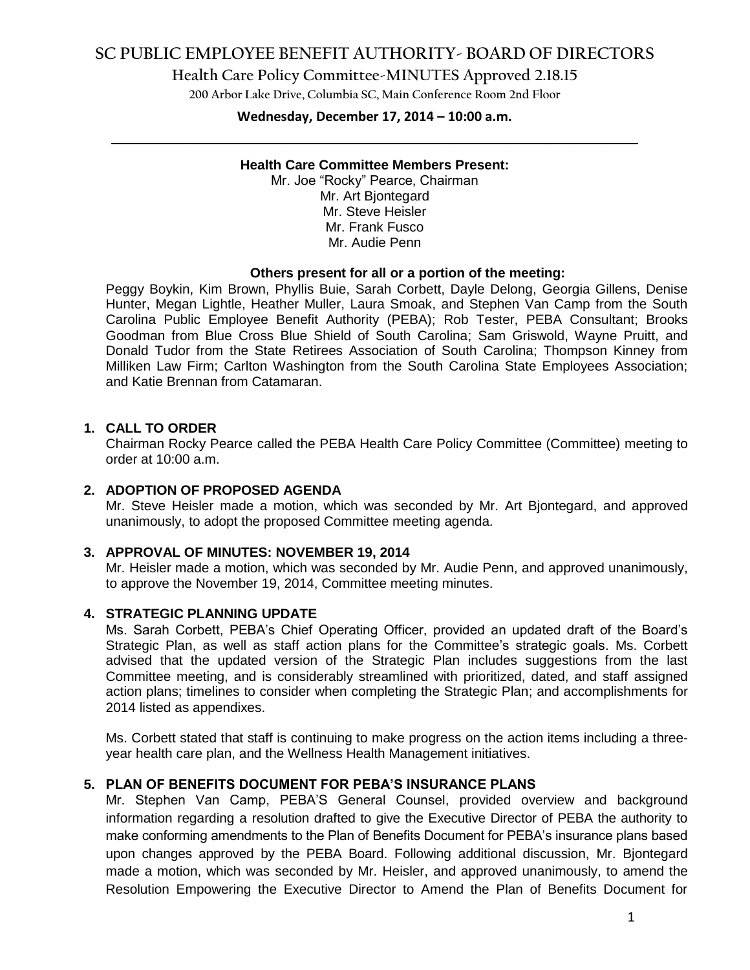# **SC PUBLIC EMPLOYEE BENEFIT AUTHORITY- BOARD OF DIRECTORS**

**Health Care Policy Committee-MINUTES Approved 2.18.15**

**200 Arbor Lake Drive, Columbia SC, Main Conference Room 2nd Floor**

# **Wednesday, December 17, 2014 – 10:00 a.m. \_\_\_\_\_\_\_\_\_\_\_\_\_\_\_\_\_\_\_\_\_\_\_\_\_\_\_\_\_\_\_\_\_\_\_\_\_\_\_\_\_\_\_\_\_\_\_\_\_\_\_\_\_\_\_\_\_\_\_\_\_\_\_\_\_\_\_\_\_\_\_\_**

#### **Health Care Committee Members Present:**

Mr. Joe "Rocky" Pearce, Chairman Mr. Art Bjontegard Mr. Steve Heisler Mr. Frank Fusco Mr. Audie Penn

#### **Others present for all or a portion of the meeting:**

Peggy Boykin, Kim Brown, Phyllis Buie, Sarah Corbett, Dayle Delong, Georgia Gillens, Denise Hunter, Megan Lightle, Heather Muller, Laura Smoak, and Stephen Van Camp from the South Carolina Public Employee Benefit Authority (PEBA); Rob Tester, PEBA Consultant; Brooks Goodman from Blue Cross Blue Shield of South Carolina; Sam Griswold, Wayne Pruitt, and Donald Tudor from the State Retirees Association of South Carolina; Thompson Kinney from Milliken Law Firm; Carlton Washington from the South Carolina State Employees Association; and Katie Brennan from Catamaran.

## **1. CALL TO ORDER**

Chairman Rocky Pearce called the PEBA Health Care Policy Committee (Committee) meeting to order at 10:00 a.m.

#### **2. ADOPTION OF PROPOSED AGENDA**

Mr. Steve Heisler made a motion, which was seconded by Mr. Art Bjontegard, and approved unanimously, to adopt the proposed Committee meeting agenda.

#### **3. APPROVAL OF MINUTES: NOVEMBER 19, 2014**

Mr. Heisler made a motion, which was seconded by Mr. Audie Penn, and approved unanimously, to approve the November 19, 2014, Committee meeting minutes.

### **4. STRATEGIC PLANNING UPDATE**

Ms. Sarah Corbett, PEBA's Chief Operating Officer, provided an updated draft of the Board's Strategic Plan, as well as staff action plans for the Committee's strategic goals. Ms. Corbett advised that the updated version of the Strategic Plan includes suggestions from the last Committee meeting, and is considerably streamlined with prioritized, dated, and staff assigned action plans; timelines to consider when completing the Strategic Plan; and accomplishments for 2014 listed as appendixes.

Ms. Corbett stated that staff is continuing to make progress on the action items including a threeyear health care plan, and the Wellness Health Management initiatives.

### **5. PLAN OF BENEFITS DOCUMENT FOR PEBA'S INSURANCE PLANS**

Mr. Stephen Van Camp, PEBA'S General Counsel, provided overview and background information regarding a resolution drafted to give the Executive Director of PEBA the authority to make conforming amendments to the Plan of Benefits Document for PEBA's insurance plans based upon changes approved by the PEBA Board. Following additional discussion, Mr. Bjontegard made a motion, which was seconded by Mr. Heisler, and approved unanimously, to amend the Resolution Empowering the Executive Director to Amend the Plan of Benefits Document for